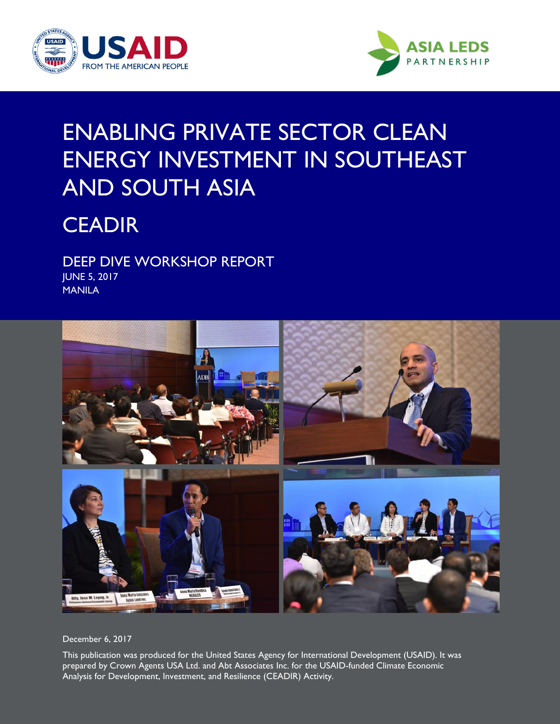



### ENABLING PRIVATE SECTOR CLEAN ENERGY INVESTMENT IN SOUTHEAST AND SOUTH ASIA

### **CEADIR**

DEEP DIVE WORKSHOP REPORT JUNE 5, 2017 MANILA



December 6, 2017

This publication was produced for the United States Agency for International Development (USAID). It was prepared by Crown Agents USA Ltd. and Abt Associates Inc. for the USAID-funded Climate Economic Analysis for Development, Investment, and Resilience (CEADIR) Activity.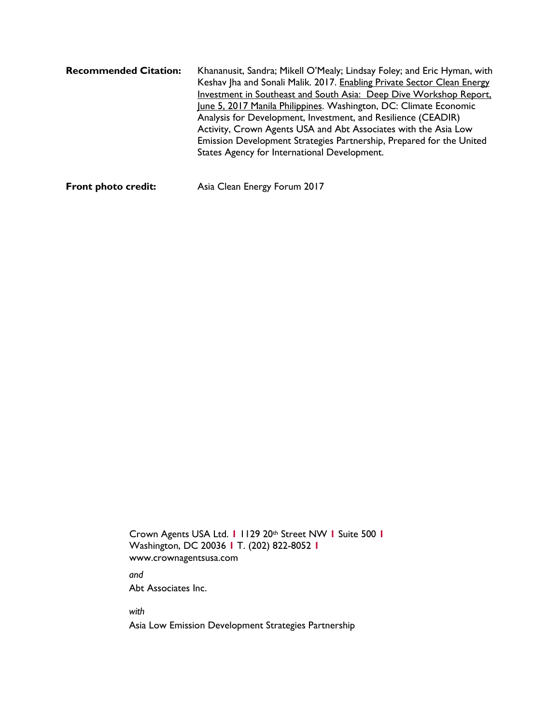| <b>Recommended Citation:</b> | Khananusit, Sandra; Mikell O'Mealy; Lindsay Foley; and Eric Hyman, with |
|------------------------------|-------------------------------------------------------------------------|
|                              | Keshav Jha and Sonali Malik. 2017. Enabling Private Sector Clean Energy |
|                              | Investment in Southeast and South Asia: Deep Dive Workshop Report,      |
|                              | June 5, 2017 Manila Philippines. Washington, DC: Climate Economic       |
|                              | Analysis for Development, Investment, and Resilience (CEADIR)           |
|                              | Activity, Crown Agents USA and Abt Associates with the Asia Low         |
|                              | Emission Development Strategies Partnership, Prepared for the United    |
|                              | States Agency for International Development.                            |
|                              |                                                                         |

**Front photo credit:** Asia Clean Energy Forum 2017

Crown Agents USA Ltd. **1** 1129 20th Street NW **1** Suite 500 **1** Washington, DC 20036 **1** T. (202) 822-8052 **1** www.crownagentsusa.com

*and*

Abt Associates Inc.

*with*

Asia Low Emission Development Strategies Partnership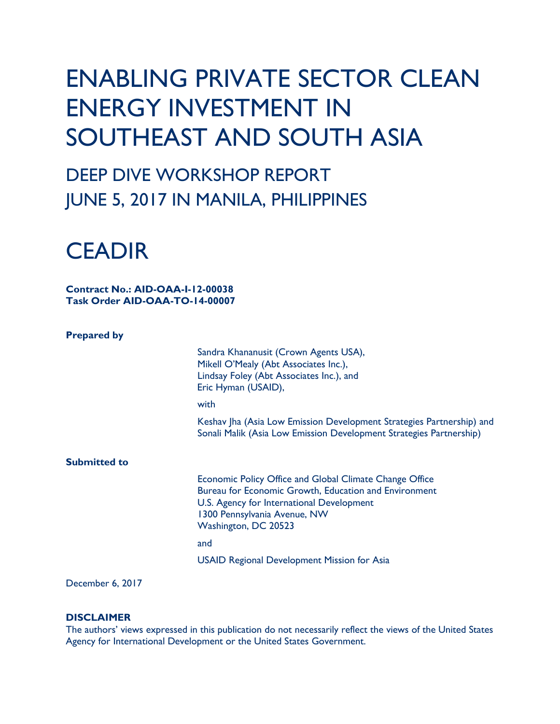## ENABLING PRIVATE SECTOR CLEAN ENERGY INVESTMENT IN SOUTHEAST AND SOUTH ASIA

### DEEP DIVE WORKSHOP REPORT JUNE 5, 2017 IN MANILA, PHILIPPINES



**Contract No.: AID-OAA-I-12-00038 Task Order AID-OAA-TO-14-00007**

#### **Prepared by**

Sandra Khananusit (Crown Agents USA), Mikell O'Mealy (Abt Associates Inc.), Lindsay Foley (Abt Associates Inc.), and Eric Hyman (USAID),

with

Keshav Jha (Asia Low Emission Development Strategies Partnership) and Sonali Malik (Asia Low Emission Development Strategies Partnership)

**Submitted to**

Economic Policy Office and Global Climate Change Office Bureau for Economic Growth, Education and Environment U.S. Agency for International Development 1300 Pennsylvania Avenue, NW Washington, DC 20523

and the contract of the contract of the contract of the contract of the contract of the contract of the contract of the contract of the contract of the contract of the contract of the contract of the contract of the contra

USAID Regional Development Mission for Asia

#### December 6, 2017

#### **DISCLAIMER**

The authors' views expressed in this publication do not necessarily reflect the views of the United States Agency for International Development or the United States Government.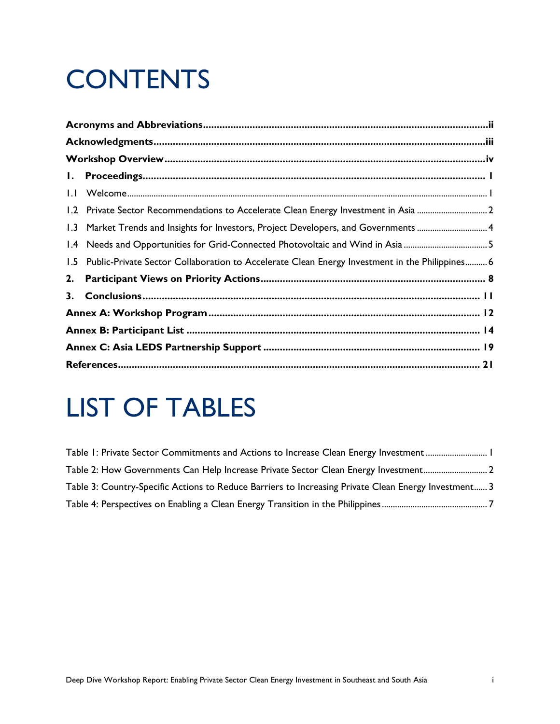# **CONTENTS**

|     | 1.2 Private Sector Recommendations to Accelerate Clean Energy Investment in Asia 2             |  |
|-----|------------------------------------------------------------------------------------------------|--|
|     |                                                                                                |  |
|     | 1.4 Needs and Opportunities for Grid-Connected Photovoltaic and Wind in Asia 5                 |  |
| 1.5 | Public-Private Sector Collaboration to Accelerate Clean Energy Investment in the Philippines 6 |  |
| 2.  |                                                                                                |  |
| 3.  |                                                                                                |  |
|     |                                                                                                |  |
|     |                                                                                                |  |
|     |                                                                                                |  |
|     |                                                                                                |  |

# LIST OF TABLES

| Table I: Private Sector Commitments and Actions to Increase Clean Energy Investment  I               |
|------------------------------------------------------------------------------------------------------|
| Table 2: How Governments Can Help Increase Private Sector Clean Energy Investment2                   |
| Table 3: Country-Specific Actions to Reduce Barriers to Increasing Private Clean Energy Investment 3 |
|                                                                                                      |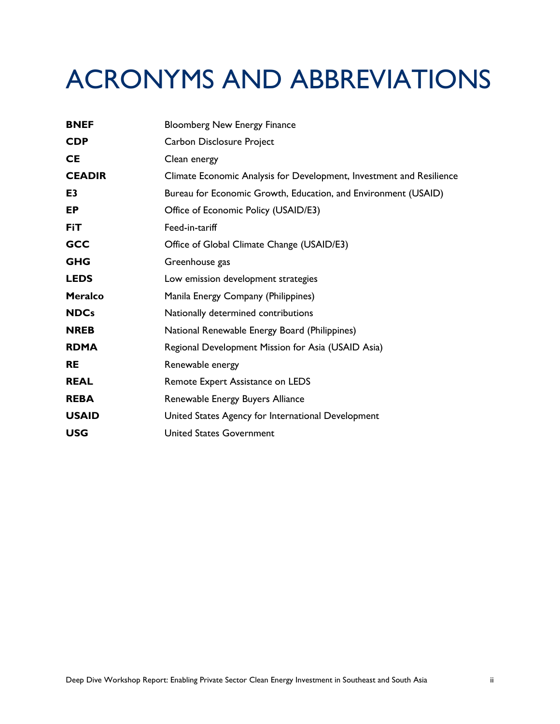# ACRONYMS AND ABBREVIATIONS

| <b>BNEF</b>    | <b>Bloomberg New Energy Finance</b>                                  |
|----------------|----------------------------------------------------------------------|
| <b>CDP</b>     | Carbon Disclosure Project                                            |
| <b>CE</b>      | Clean energy                                                         |
| <b>CEADIR</b>  | Climate Economic Analysis for Development, Investment and Resilience |
| E <sub>3</sub> | Bureau for Economic Growth, Education, and Environment (USAID)       |
| EP             | Office of Economic Policy (USAID/E3)                                 |
| <b>FiT</b>     | Feed-in-tariff                                                       |
| <b>GCC</b>     | Office of Global Climate Change (USAID/E3)                           |
| <b>GHG</b>     | Greenhouse gas                                                       |
| <b>LEDS</b>    | Low emission development strategies                                  |
| <b>Meralco</b> | Manila Energy Company (Philippines)                                  |
| <b>NDCs</b>    | Nationally determined contributions                                  |
| <b>NREB</b>    | National Renewable Energy Board (Philippines)                        |
| <b>RDMA</b>    | Regional Development Mission for Asia (USAID Asia)                   |
| <b>RE</b>      | Renewable energy                                                     |
| <b>REAL</b>    | Remote Expert Assistance on LEDS                                     |
| <b>REBA</b>    | Renewable Energy Buyers Alliance                                     |
| <b>USAID</b>   | United States Agency for International Development                   |
| <b>USG</b>     | <b>United States Government</b>                                      |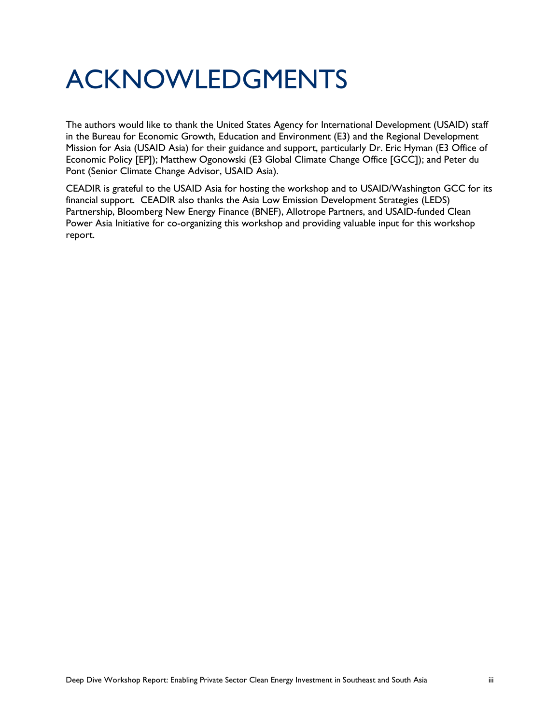## ACKNOWLEDGMENTS

The authors would like to thank the United States Agency for International Development (USAID) staff in the Bureau for Economic Growth, Education and Environment (E3) and the Regional Development Mission for Asia (USAID Asia) for their guidance and support, particularly Dr. Eric Hyman (E3 Office of Economic Policy [EP]); Matthew Ogonowski (E3 Global Climate Change Office [GCC]); and Peter du Pont (Senior Climate Change Advisor, USAID Asia).

CEADIR is grateful to the USAID Asia for hosting the workshop and to USAID/Washington GCC for its financial support. CEADIR also thanks the Asia Low Emission Development Strategies (LEDS) Partnership, Bloomberg New Energy Finance (BNEF), Allotrope Partners, and USAID-funded Clean Power Asia Initiative for co-organizing this workshop and providing valuable input for this workshop report.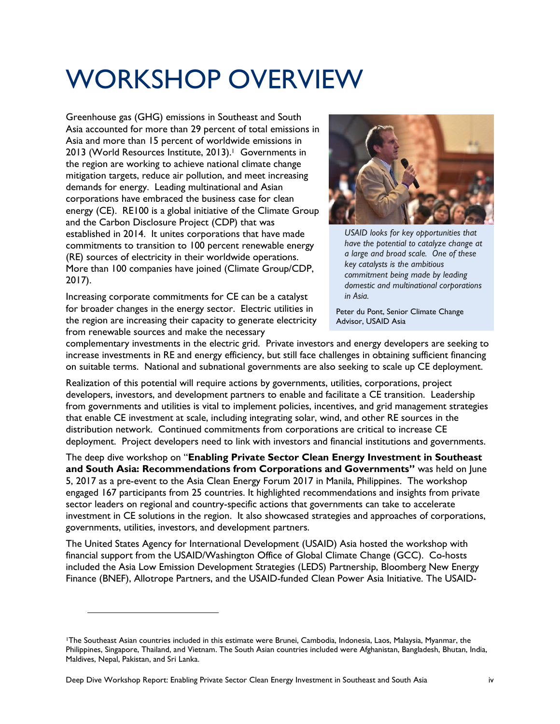## WORKSHOP OVERVIEW

Greenhouse gas (GHG) emissions in Southeast and South Asia accounted for more than 29 percent of total emissions in Asia and more than 15 percent of worldwide emissions in 2013 (World Resources Institute, 2013). <sup>1</sup> Governments in the region are working to achieve national climate change mitigation targets, reduce air pollution, and meet increasing demands for energy. Leading multinational and Asian corporations have embraced the business case for clean energy (CE). RE100 is a global initiative of the Climate Group and the Carbon Disclosure Project (CDP) that was established in 2014. It unites corporations that have made commitments to transition to 100 percent renewable energy (RE) sources of electricity in their worldwide operations. More than 100 companies have joined (Climate Group/CDP, 2017).

Increasing corporate commitments for CE can be a catalyst for broader changes in the energy sector. Electric utilities in the region are increasing their capacity to generate electricity from renewable sources and make the necessary



*USAID looks for key opportunities that have the potential to catalyze change at a large and broad scale. One of these key catalysts is the ambitious commitment being made by leading domestic and multinational corporations in Asia.* 

Peter du Pont, Senior Climate Change Advisor, USAID Asia

complementary investments in the electric grid. Private investors and energy developers are seeking to increase investments in RE and energy efficiency, but still face challenges in obtaining sufficient financing on suitable terms. National and subnational governments are also seeking to scale up CE deployment.

Realization of this potential will require actions by governments, utilities, corporations, project developers, investors, and development partners to enable and facilitate a CE transition. Leadership from governments and utilities is vital to implement policies, incentives, and grid management strategies that enable CE investment at scale, including integrating solar, wind, and other RE sources in the distribution network. Continued commitments from corporations are critical to increase CE deployment. Project developers need to link with investors and financial institutions and governments.

The deep dive workshop on "**Enabling Private Sector Clean Energy Investment in Southeast and South Asia: Recommendations from Corporations and Governments"** was held on June 5, 2017 as a pre-event to the Asia Clean Energy Forum 2017 in Manila, Philippines. The workshop engaged 167 participants from 25 countries. It highlighted recommendations and insights from private sector leaders on regional and country-specific actions that governments can take to accelerate investment in CE solutions in the region. It also showcased strategies and approaches of corporations, governments, utilities, investors, and development partners.

The United States Agency for International Development (USAID) Asia hosted the workshop with financial support from the USAID/Washington Office of Global Climate Change (GCC). Co-hosts included the Asia Low Emission Development Strategies (LEDS) Partnership, Bloomberg New Energy Finance (BNEF), Allotrope Partners, and the USAID-funded Clean Power Asia Initiative. The USAID-

<sup>1</sup>The Southeast Asian countries included in this estimate were Brunei, Cambodia, Indonesia, Laos, Malaysia, Myanmar, the Philippines, Singapore, Thailand, and Vietnam. The South Asian countries included were Afghanistan, Bangladesh, Bhutan, India, Maldives, Nepal, Pakistan, and Sri Lanka.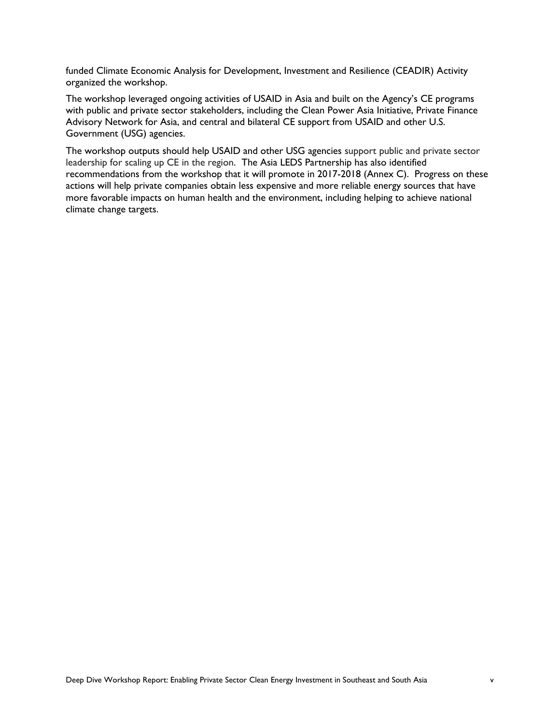funded Climate Economic Analysis for Development, Investment and Resilience (CEADIR) Activity organized the workshop.

The workshop leveraged ongoing activities of USAID in Asia and built on the Agency's CE programs with public and private sector stakeholders, including the Clean Power Asia Initiative, Private Finance Advisory Network for Asia, and central and bilateral CE support from USAID and other U.S. Government (USG) agencies.

The workshop outputs should help USAID and other USG agencies support public and private sector leadership for scaling up CE in the region. The Asia LEDS Partnership has also identified recommendations from the workshop that it will promote in 2017-2018 (Annex C). Progress on these actions will help private companies obtain less expensive and more reliable energy sources that have more favorable impacts on human health and the environment, including helping to achieve national climate change targets.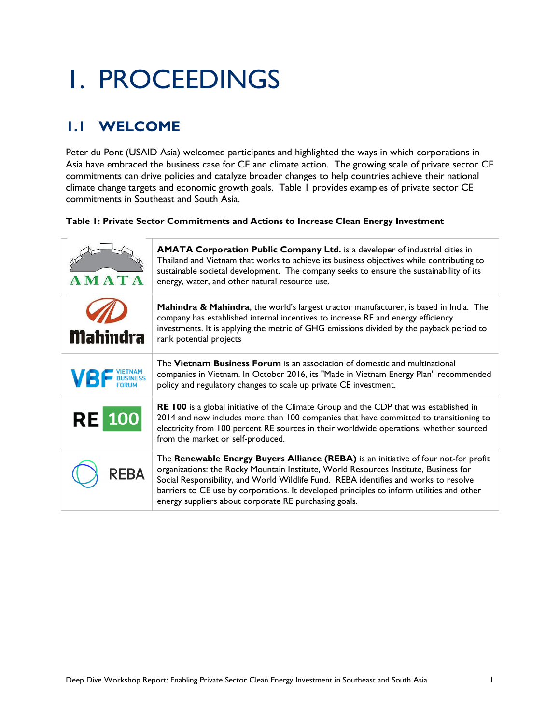# 1. PROCEEDINGS

### **1.1 WELCOME**

Peter du Pont (USAID Asia) welcomed participants and highlighted the ways in which corporations in Asia have embraced the business case for CE and climate action. The growing scale of private sector CE commitments can drive policies and catalyze broader changes to help countries achieve their national climate change targets and economic growth goals. Table 1 provides examples of private sector CE commitments in Southeast and South Asia.

#### <span id="page-8-0"></span>**Table 1: Private Sector Commitments and Actions to Increase Clean Energy Investment**

| AMATA               | <b>AMATA Corporation Public Company Ltd.</b> is a developer of industrial cities in<br>Thailand and Vietnam that works to achieve its business objectives while contributing to<br>sustainable societal development. The company seeks to ensure the sustainability of its<br>energy, water, and other natural resource use.                                                                                              |
|---------------------|---------------------------------------------------------------------------------------------------------------------------------------------------------------------------------------------------------------------------------------------------------------------------------------------------------------------------------------------------------------------------------------------------------------------------|
| <b>Mahindra</b>     | <b>Mahindra &amp; Mahindra</b> , the world's largest tractor manufacturer, is based in India. The<br>company has established internal incentives to increase RE and energy efficiency<br>investments. It is applying the metric of GHG emissions divided by the payback period to<br>rank potential projects                                                                                                              |
| <b>VBF</b> BUSINESS | The <b>Vietnam Business Forum</b> is an association of domestic and multinational<br>companies in Vietnam. In October 2016, its "Made in Vietnam Energy Plan" recommended<br>policy and regulatory changes to scale up private CE investment.                                                                                                                                                                             |
| <b>RE</b>           | RE 100 is a global initiative of the Climate Group and the CDP that was established in<br>2014 and now includes more than 100 companies that have committed to transitioning to<br>electricity from 100 percent RE sources in their worldwide operations, whether sourced<br>from the market or self-produced.                                                                                                            |
|                     | The Renewable Energy Buyers Alliance (REBA) is an initiative of four not-for profit<br>organizations: the Rocky Mountain Institute, World Resources Institute, Business for<br>Social Responsibility, and World Wildlife Fund. REBA identifies and works to resolve<br>barriers to CE use by corporations. It developed principles to inform utilities and other<br>energy suppliers about corporate RE purchasing goals. |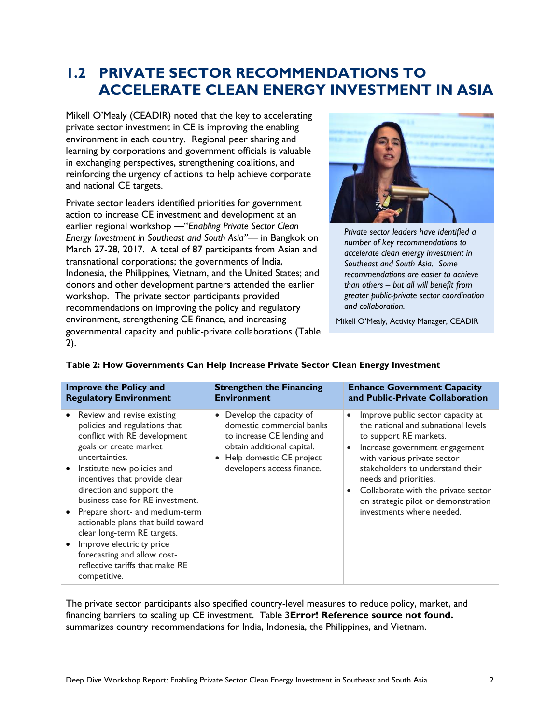### **1.2 PRIVATE SECTOR RECOMMENDATIONS TO ACCELERATE CLEAN ENERGY INVESTMENT IN ASIA**

Mikell O'Mealy (CEADIR) noted that the key to accelerating private sector investment in CE is improving the enabling environment in each country. Regional peer sharing and learning by corporations and government officials is valuable in exchanging perspectives, strengthening coalitions, and reinforcing the urgency of actions to help achieve corporate and national CE targets.

Private sector leaders identified priorities for government action to increase CE investment and development at an earlier regional workshop —"*Enabling Private Sector Clean Energy Investment in Southeast and South Asia"*— in Bangkok on March 27-28, 2017. A total of 87 participants from Asian and transnational corporations; the governments of India, Indonesia, the Philippines, Vietnam, and the United States; and donors and other development partners attended the earlier workshop. The private sector participants provided recommendations on improving the policy and regulatory environment, strengthening CE finance, and increasing governmental capacity and public-private collaborations (Table 2).



*Private sector leaders have identified a number of key recommendations to accelerate clean energy investment in Southeast and South Asia. Some recommendations are easier to achieve than others – but all will benefit from greater public-private sector coordination and collaboration.*

Mikell O'Mealy, Activity Manager, CEADIR

| <b>Improve the Policy and</b>                                                                                                                                                                                                                                                                                                                                                                                                                                                                                | <b>Strengthen the Financing</b>                                                                                                                                              | <b>Enhance Government Capacity</b>                                                                                                                                                                                                                                                                                                                                                 |
|--------------------------------------------------------------------------------------------------------------------------------------------------------------------------------------------------------------------------------------------------------------------------------------------------------------------------------------------------------------------------------------------------------------------------------------------------------------------------------------------------------------|------------------------------------------------------------------------------------------------------------------------------------------------------------------------------|------------------------------------------------------------------------------------------------------------------------------------------------------------------------------------------------------------------------------------------------------------------------------------------------------------------------------------------------------------------------------------|
| <b>Regulatory Environment</b>                                                                                                                                                                                                                                                                                                                                                                                                                                                                                | <b>Environment</b>                                                                                                                                                           | and Public-Private Collaboration                                                                                                                                                                                                                                                                                                                                                   |
| Review and revise existing<br>$\bullet$<br>policies and regulations that<br>conflict with RE development<br>goals or create market<br>uncertainties.<br>Institute new policies and<br>incentives that provide clear<br>direction and support the<br>business case for RE investment.<br>• Prepare short- and medium-term<br>actionable plans that build toward<br>clear long-term RE targets.<br>Improve electricity price<br>forecasting and allow cost-<br>reflective tariffs that make RE<br>competitive. | • Develop the capacity of<br>domestic commercial banks<br>to increase CE lending and<br>obtain additional capital.<br>Help domestic CE project<br>developers access finance. | Improve public sector capacity at<br>$\bullet$<br>the national and subnational levels<br>to support RE markets.<br>Increase government engagement<br>$\bullet$<br>with various private sector<br>stakeholders to understand their<br>needs and priorities.<br>Collaborate with the private sector<br>$\bullet$<br>on strategic pilot or demonstration<br>investments where needed. |

#### <span id="page-9-0"></span>**Table 2: How Governments Can Help Increase Private Sector Clean Energy Investment**

The private sector participants also specified country-level measures to reduce policy, market, and financing barriers to scaling up CE investment. Table 3**Error! Reference source not found.** summarizes country recommendations for India, Indonesia, the Philippines, and Vietnam.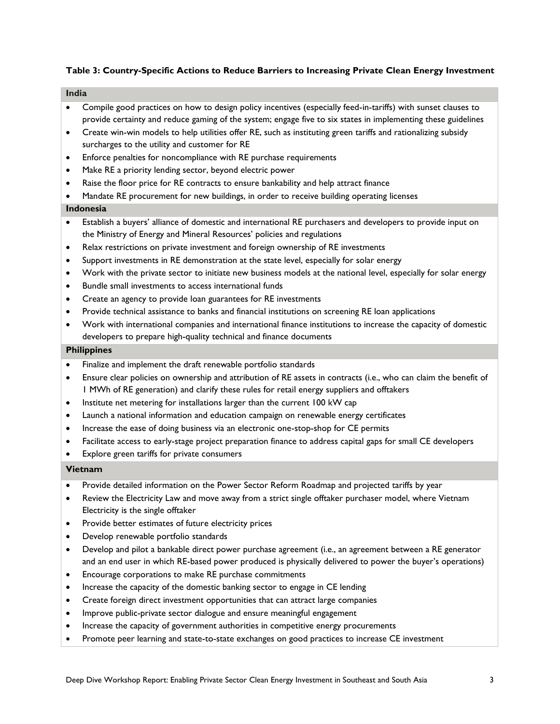#### <span id="page-10-0"></span>**Table 3: Country-Specific Actions to Reduce Barriers to Increasing Private Clean Energy Investment**

#### **India**

- Compile good practices on how to design policy incentives (especially feed-in-tariffs) with sunset clauses to provide certainty and reduce gaming of the system; engage five to six states in implementing these guidelines
- Create win-win models to help utilities offer RE, such as instituting green tariffs and rationalizing subsidy surcharges to the utility and customer for RE
- Enforce penalties for noncompliance with RE purchase requirements
- Make RE a priority lending sector, beyond electric power
- Raise the floor price for RE contracts to ensure bankability and help attract finance
- Mandate RE procurement for new buildings, in order to receive building operating licenses

#### **Indonesia**

- Establish a buyers' alliance of domestic and international RE purchasers and developers to provide input on the Ministry of Energy and Mineral Resources' policies and regulations
- Relax restrictions on private investment and foreign ownership of RE investments
- Support investments in RE demonstration at the state level, especially for solar energy
- Work with the private sector to initiate new business models at the national level, especially for solar energy
- Bundle small investments to access international funds
- Create an agency to provide loan guarantees for RE investments
- Provide technical assistance to banks and financial institutions on screening RE loan applications
- Work with international companies and international finance institutions to increase the capacity of domestic developers to prepare high-quality technical and finance documents

#### **Philippines**

- Finalize and implement the draft renewable portfolio standards
- Ensure clear policies on ownership and attribution of RE assets in contracts (i.e., who can claim the benefit of 1 MWh of RE generation) and clarify these rules for retail energy suppliers and offtakers
- Institute net metering for installations larger than the current 100 kW cap
- Launch a national information and education campaign on renewable energy certificates
- Increase the ease of doing business via an electronic one-stop-shop for CE permits
- Facilitate access to early-stage project preparation finance to address capital gaps for small CE developers
- Explore green tariffs for private consumers

#### **Vietnam**

- Provide detailed information on the Power Sector Reform Roadmap and projected tariffs by year
- Review the Electricity Law and move away from a strict single offtaker purchaser model, where Vietnam Electricity is the single offtaker
- Provide better estimates of future electricity prices
- Develop renewable portfolio standards
- Develop and pilot a bankable direct power purchase agreement (i.e., an agreement between a RE generator and an end user in which RE-based power produced is physically delivered to power the buyer's operations)
- Encourage corporations to make RE purchase commitments
- Increase the capacity of the domestic banking sector to engage in CE lending
- Create foreign direct investment opportunities that can attract large companies
- Improve public-private sector dialogue and ensure meaningful engagement
- Increase the capacity of government authorities in competitive energy procurements
- Promote peer learning and state-to-state exchanges on good practices to increase CE investment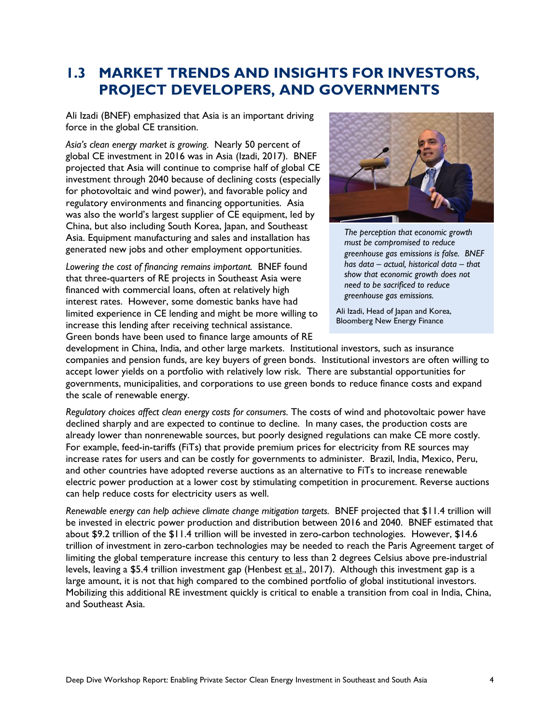### **1.3 MARKET TRENDS AND INSIGHTS FOR INVESTORS, PROJECT DEVELOPERS, AND GOVERNMENTS**

Ali Izadi (BNEF) emphasized that Asia is an important driving force in the global CE transition.

*Asia's clean energy market is growing.* Nearly 50 percent of global CE investment in 2016 was in Asia (Izadi, 2017). BNEF projected that Asia will continue to comprise half of global CE investment through 2040 because of declining costs (especially for photovoltaic and wind power), and favorable policy and regulatory environments and financing opportunities. Asia was also the world's largest supplier of CE equipment, led by China, but also including South Korea, Japan, and Southeast Asia. Equipment manufacturing and sales and installation has generated new jobs and other employment opportunities.

*Lowering the cost of financing remains important.* BNEF found that three-quarters of RE projects in Southeast Asia were financed with commercial loans, often at relatively high interest rates. However, some domestic banks have had limited experience in CE lending and might be more willing to increase this lending after receiving technical assistance. Green bonds have been used to finance large amounts of RE



*The perception that economic growth must be compromised to reduce greenhouse gas emissions is false. BNEF has data – actual, historical data – that show that economic growth does not need to be sacrificed to reduce greenhouse gas emissions.*

Ali Izadi, Head of Japan and Korea, Bloomberg New Energy Finance

development in China, India, and other large markets. Institutional investors, such as insurance companies and pension funds, are key buyers of green bonds. Institutional investors are often willing to accept lower yields on a portfolio with relatively low risk. There are substantial opportunities for governments, municipalities, and corporations to use green bonds to reduce finance costs and expand the scale of renewable energy.

*Regulatory choices affect clean energy costs for consumers.* The costs of wind and photovoltaic power have declined sharply and are expected to continue to decline. In many cases, the production costs are already lower than nonrenewable sources, but poorly designed regulations can make CE more costly. For example, feed-in-tariffs (FiTs) that provide premium prices for electricity from RE sources may increase rates for users and can be costly for governments to administer. Brazil, India, Mexico, Peru, and other countries have adopted reverse auctions as an alternative to FiTs to increase renewable electric power production at a lower cost by stimulating competition in procurement. Reverse auctions can help reduce costs for electricity users as well.

*Renewable energy can help achieve climate change mitigation targets.* BNEF projected that \$11.4 trillion will be invested in electric power production and distribution between 2016 and 2040. BNEF estimated that about \$9.2 trillion of the \$11.4 trillion will be invested in zero-carbon technologies. However, \$14.6 trillion of investment in zero-carbon technologies may be needed to reach the Paris Agreement target of limiting the global temperature increase this century to less than 2 degrees Celsius above pre-industrial levels, leaving a \$5.4 trillion investment gap (Henbest et al., 2017). Although this investment gap is a large amount, it is not that high compared to the combined portfolio of global institutional investors. Mobilizing this additional RE investment quickly is critical to enable a transition from coal in India, China, and Southeast Asia.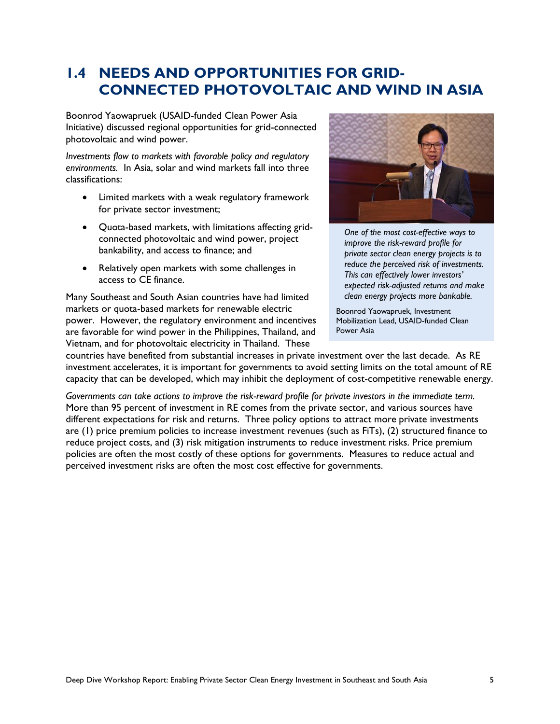### **1.4 NEEDS AND OPPORTUNITIES FOR GRID-CONNECTED PHOTOVOLTAIC AND WIND IN ASIA**

Boonrod Yaowapruek (USAID-funded Clean Power Asia Initiative) discussed regional opportunities for grid-connected photovoltaic and wind power.

*Investments flow to markets with favorable policy and regulatory environments.* In Asia, solar and wind markets fall into three classifications:

- Limited markets with a weak regulatory framework for private sector investment;
- Quota-based markets, with limitations affecting gridconnected photovoltaic and wind power, project bankability, and access to finance; and
- Relatively open markets with some challenges in access to CE finance.

Many Southeast and South Asian countries have had limited markets or quota-based markets for renewable electric power. However, the regulatory environment and incentives are favorable for wind power in the Philippines, Thailand, and Vietnam, and for photovoltaic electricity in Thailand. These



*One of the most cost-effective ways to improve the risk-reward profile for private sector clean energy projects is to reduce the perceived risk of investments. This can effectively lower investors' expected risk-adjusted returns and make clean energy projects more bankable.*

Boonrod Yaowapruek, Investment Mobilization Lead, USAID-funded Clean Power Asia

countries have benefited from substantial increases in private investment over the last decade. As RE investment accelerates, it is important for governments to avoid setting limits on the total amount of RE capacity that can be developed, which may inhibit the deployment of cost-competitive renewable energy.

*Governments can take actions to improve the risk-reward profile for private investors in the immediate term.* More than 95 percent of investment in RE comes from the private sector, and various sources have different expectations for risk and returns. Three policy options to attract more private investments are (1) price premium policies to increase investment revenues (such as FiTs), (2) structured finance to reduce project costs, and (3) risk mitigation instruments to reduce investment risks. Price premium policies are often the most costly of these options for governments. Measures to reduce actual and perceived investment risks are often the most cost effective for governments.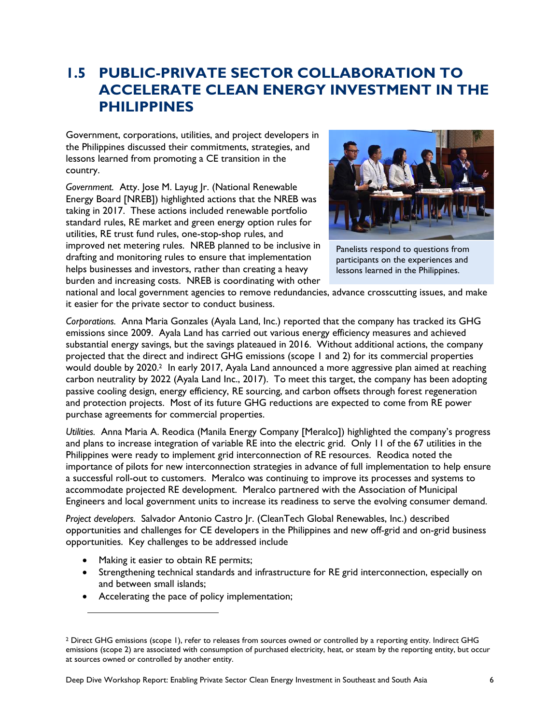### **1.5 PUBLIC-PRIVATE SECTOR COLLABORATION TO ACCELERATE CLEAN ENERGY INVESTMENT IN THE PHILIPPINES**

Government, corporations, utilities, and project developers in the Philippines discussed their commitments, strategies, and lessons learned from promoting a CE transition in the country.

*Government.* Atty. Jose M. Layug Jr. (National Renewable Energy Board [NREB]) highlighted actions that the NREB was taking in 2017. These actions included renewable portfolio standard rules, RE market and green energy option rules for utilities, RE trust fund rules, one-stop-shop rules, and improved net metering rules. NREB planned to be inclusive in drafting and monitoring rules to ensure that implementation helps businesses and investors, rather than creating a heavy burden and increasing costs. NREB is coordinating with other



Panelists respond to questions from participants on the experiences and lessons learned in the Philippines.

national and local government agencies to remove redundancies, advance crosscutting issues, and make it easier for the private sector to conduct business.

*Corporations.* Anna Maria Gonzales (Ayala Land, Inc.) reported that the company has tracked its GHG emissions since 2009. Ayala Land has carried out various energy efficiency measures and achieved substantial energy savings, but the savings plateaued in 2016. Without additional actions, the company projected that the direct and indirect GHG emissions (scope 1 and 2) for its commercial properties would double by 2020. <sup>2</sup> In early 2017, Ayala Land announced a more aggressive plan aimed at reaching carbon neutrality by 2022 (Ayala Land Inc., 2017). To meet this target, the company has been adopting passive cooling design, energy efficiency, RE sourcing, and carbon offsets through forest regeneration and protection projects. Most of its future GHG reductions are expected to come from RE power purchase agreements for commercial properties.

*Utilities.* Anna Maria A. Reodica (Manila Energy Company [Meralco]) highlighted the company's progress and plans to increase integration of variable RE into the electric grid. Only 11 of the 67 utilities in the Philippines were ready to implement grid interconnection of RE resources. Reodica noted the importance of pilots for new interconnection strategies in advance of full implementation to help ensure a successful roll-out to customers. Meralco was continuing to improve its processes and systems to accommodate projected RE development. Meralco partnered with the Association of Municipal Engineers and local government units to increase its readiness to serve the evolving consumer demand.

*Project developers.* Salvador Antonio Castro Jr. (CleanTech Global Renewables, Inc.) described opportunities and challenges for CE developers in the Philippines and new off-grid and on-grid business opportunities. Key challenges to be addressed include

- Making it easier to obtain RE permits;
- Strengthening technical standards and infrastructure for RE grid interconnection, especially on and between small islands;
- Accelerating the pace of policy implementation;

<sup>&</sup>lt;sup>2</sup> Direct GHG emissions (scope 1), refer to releases from sources owned or controlled by a reporting entity. Indirect GHG emissions (scope 2) are associated with consumption of purchased electricity, heat, or steam by the reporting entity, but occur at sources owned or controlled by another entity.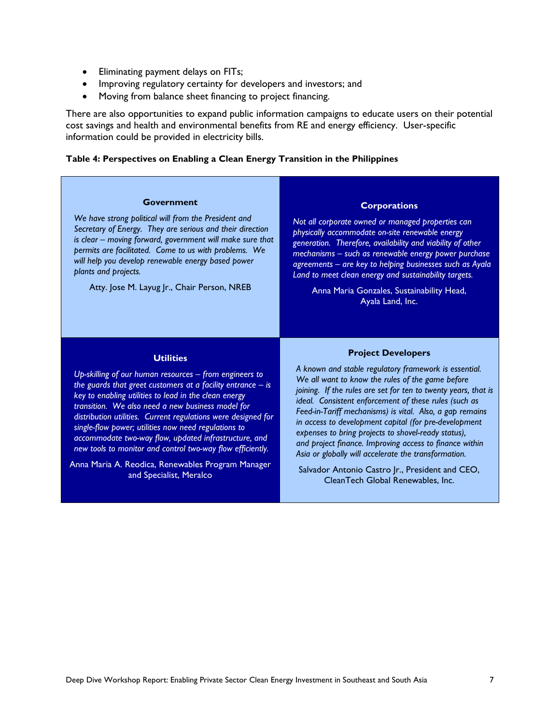- Eliminating payment delays on FITs;
- Improving regulatory certainty for developers and investors; and
- Moving from balance sheet financing to project financing.

There are also opportunities to expand public information campaigns to educate users on their potential cost savings and health and environmental benefits from RE and energy efficiency. User-specific information could be provided in electricity bills.

#### <span id="page-14-0"></span>**Table 4: Perspectives on Enabling a Clean Energy Transition in the Philippines**

#### **Government**

*We have strong political will from the President and Secretary of Energy. They are serious and their direction is clear – moving forward, government will make sure that permits are facilitated. Come to us with problems. We will help you develop renewable energy based power plants and projects.*

Atty. Jose M. Layug Jr., Chair Person, NREB

#### **Corporations**

*Not all corporate owned or managed properties can physically accommodate on-site renewable energy generation. Therefore, availability and viability of other mechanisms – such as renewable energy power purchase agreements – are key to helping businesses such as Ayala Land to meet clean energy and sustainability targets.*

Anna Maria Gonzales, Sustainability Head, Ayala Land, Inc.

#### **Utilities**

*Up-skilling of our human resources – from engineers to the guards that greet customers at a facility entrance – is key to enabling utilities to lead in the clean energy transition. We also need a new business model for distribution utilities. Current regulations were designed for single-flow power; utilities now need regulations to accommodate two-way flow, updated infrastructure, and new tools to monitor and control two-way flow efficiently.*

Anna Maria A. Reodica, Renewables Program Manager and Specialist, Meralco

#### **Project Developers**

*A known and stable regulatory framework is essential. We all want to know the rules of the game before joining. If the rules are set for ten to twenty years, that is ideal. Consistent enforcement of these rules (such as Feed-in-Tariff mechanisms) is vital. Also, a gap remains in access to development capital (for pre-development expenses to bring projects to shovel-ready status), and project finance. Improving access to finance within Asia or globally will accelerate the transformation.*

Salvador Antonio Castro Jr., President and CEO, CleanTech Global Renewables, Inc.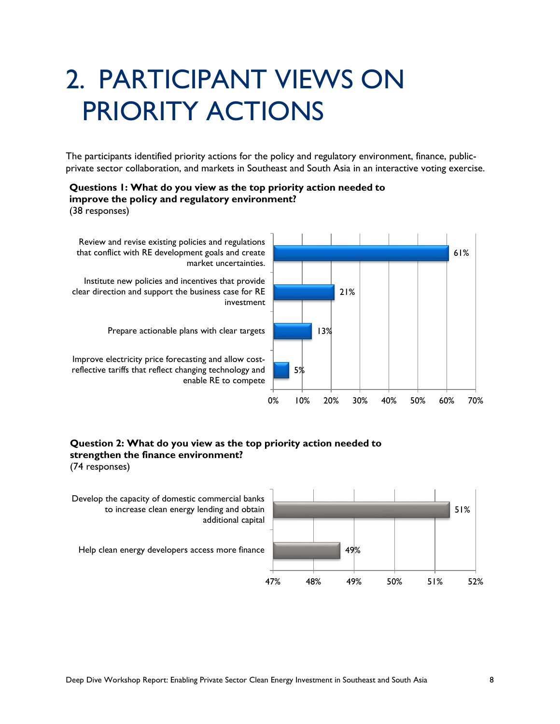# 2. PARTICIPANT VIEWS ON PRIORITY ACTIONS

The participants identified priority actions for the policy and regulatory environment, finance, publicprivate sector collaboration, and markets in Southeast and South Asia in an interactive voting exercise.

#### **Questions 1: What do you view as the top priority action needed to improve the policy and regulatory environment?**

(38 responses)



#### **Question 2: What do you view as the top priority action needed to strengthen the finance environment?**

(74 responses)

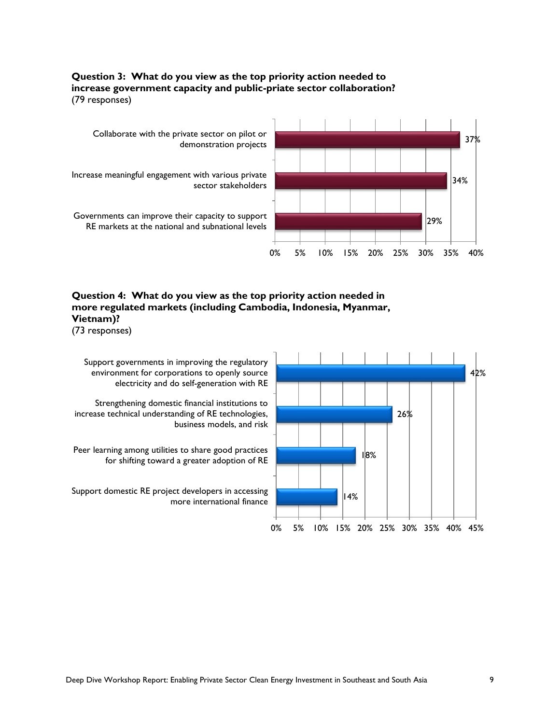#### **Question 3: What do you view as the top priority action needed to increase government capacity and public-priate sector collaboration?** (79 responses)



#### **Question 4: What do you view as the top priority action needed in more regulated markets (including Cambodia, Indonesia, Myanmar, Vietnam)?**

(73 responses)

Support governments in improving the regulatory environment for corporations to openly source electricity and do self-generation with RE

Strengthening domestic financial institutions to increase technical understanding of RE technologies, business models, and risk

Peer learning among utilities to share good practices for shifting toward a greater adoption of RE

Support domestic RE project developers in accessing more international finance

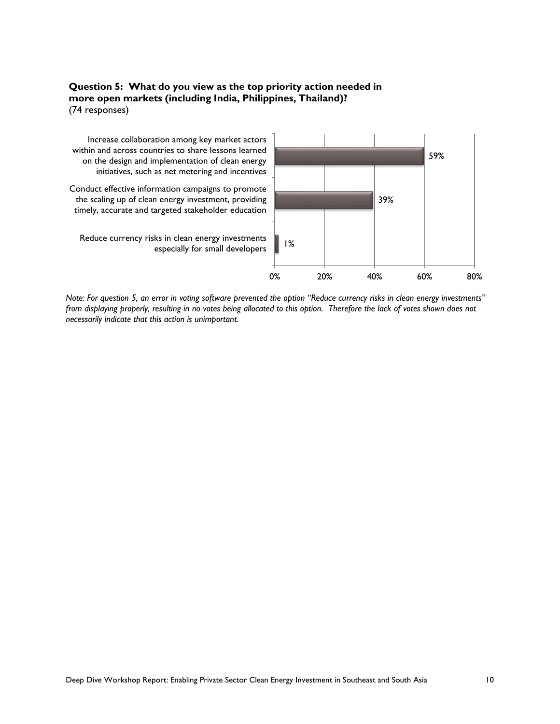#### **Question 5: What do you view as the top priority action needed in more open markets (including India, Philippines, Thailand)?** (74 responses)



*Note: For question 5, an error in voting software prevented the option "Reduce currency risks in clean energy investments" from displaying properly, resulting in no votes being allocated to this option. Therefore the lack of votes shown does not necessarily indicate that this action is unimportant.*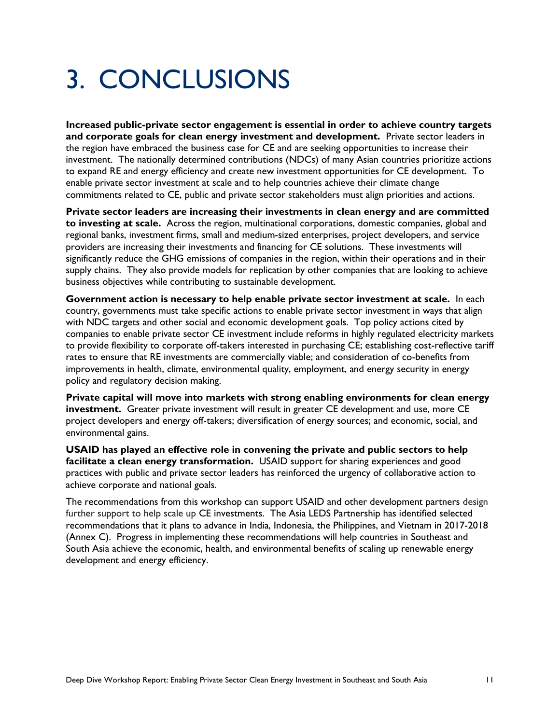## 3. CONCLUSIONS

**Increased public-private sector engagement is essential in order to achieve country targets and corporate goals for clean energy investment and development.** Private sector leaders in the region have embraced the business case for CE and are seeking opportunities to increase their investment. The nationally determined contributions (NDCs) of many Asian countries prioritize actions to expand RE and energy efficiency and create new investment opportunities for CE development. To enable private sector investment at scale and to help countries achieve their climate change commitments related to CE, public and private sector stakeholders must align priorities and actions.

**Private sector leaders are increasing their investments in clean energy and are committed to investing at scale.** Across the region, multinational corporations, domestic companies, global and regional banks, investment firms, small and medium-sized enterprises, project developers, and service providers are increasing their investments and financing for CE solutions. These investments will significantly reduce the GHG emissions of companies in the region, within their operations and in their supply chains. They also provide models for replication by other companies that are looking to achieve business objectives while contributing to sustainable development.

**Government action is necessary to help enable private sector investment at scale.** In each country, governments must take specific actions to enable private sector investment in ways that align with NDC targets and other social and economic development goals. Top policy actions cited by companies to enable private sector CE investment include reforms in highly regulated electricity markets to provide flexibility to corporate off-takers interested in purchasing CE; establishing cost-reflective tariff rates to ensure that RE investments are commercially viable; and consideration of co-benefits from improvements in health, climate, environmental quality, employment, and energy security in energy policy and regulatory decision making.

**Private capital will move into markets with strong enabling environments for clean energy investment.** Greater private investment will result in greater CE development and use, more CE project developers and energy off-takers; diversification of energy sources; and economic, social, and environmental gains.

**USAID has played an effective role in convening the private and public sectors to help facilitate a clean energy transformation.** USAID support for sharing experiences and good practices with public and private sector leaders has reinforced the urgency of collaborative action to achieve corporate and national goals.

The recommendations from this workshop can support USAID and other development partners design further support to help scale up CE investments. The Asia LEDS Partnership has identified selected recommendations that it plans to advance in India, Indonesia, the Philippines, and Vietnam in 2017-2018 (Annex C). Progress in implementing these recommendations will help countries in Southeast and South Asia achieve the economic, health, and environmental benefits of scaling up renewable energy development and energy efficiency.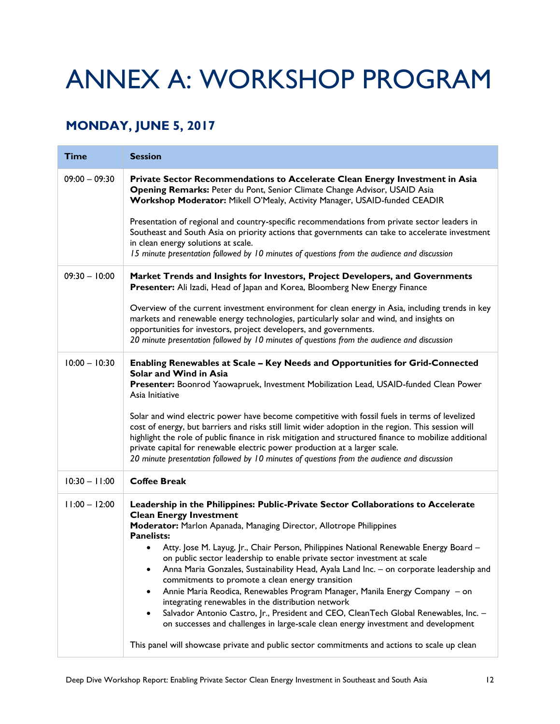# ANNEX A: WORKSHOP PROGRAM

### **MONDAY, JUNE 5, 2017**

| <b>Time</b>     | <b>Session</b>                                                                                                                                                                                                                                                                                                                                                                                                                                                                                                                                                                                                                                                                                                                                                                                                                                                                                                                                                                                     |
|-----------------|----------------------------------------------------------------------------------------------------------------------------------------------------------------------------------------------------------------------------------------------------------------------------------------------------------------------------------------------------------------------------------------------------------------------------------------------------------------------------------------------------------------------------------------------------------------------------------------------------------------------------------------------------------------------------------------------------------------------------------------------------------------------------------------------------------------------------------------------------------------------------------------------------------------------------------------------------------------------------------------------------|
| $09:00 - 09:30$ | Private Sector Recommendations to Accelerate Clean Energy Investment in Asia<br>Opening Remarks: Peter du Pont, Senior Climate Change Advisor, USAID Asia<br>Workshop Moderator: Mikell O'Mealy, Activity Manager, USAID-funded CEADIR                                                                                                                                                                                                                                                                                                                                                                                                                                                                                                                                                                                                                                                                                                                                                             |
|                 | Presentation of regional and country-specific recommendations from private sector leaders in<br>Southeast and South Asia on priority actions that governments can take to accelerate investment<br>in clean energy solutions at scale.<br>15 minute presentation followed by 10 minutes of questions from the audience and discussion                                                                                                                                                                                                                                                                                                                                                                                                                                                                                                                                                                                                                                                              |
| $09:30 - 10:00$ | Market Trends and Insights for Investors, Project Developers, and Governments<br>Presenter: Ali Izadi, Head of Japan and Korea, Bloomberg New Energy Finance                                                                                                                                                                                                                                                                                                                                                                                                                                                                                                                                                                                                                                                                                                                                                                                                                                       |
|                 | Overview of the current investment environment for clean energy in Asia, including trends in key<br>markets and renewable energy technologies, particularly solar and wind, and insights on<br>opportunities for investors, project developers, and governments.<br>20 minute presentation followed by 10 minutes of questions from the audience and discussion                                                                                                                                                                                                                                                                                                                                                                                                                                                                                                                                                                                                                                    |
| $10:00 - 10:30$ | Enabling Renewables at Scale - Key Needs and Opportunities for Grid-Connected<br>Solar and Wind in Asia<br>Presenter: Boonrod Yaowapruek, Investment Mobilization Lead, USAID-funded Clean Power<br>Asia Initiative                                                                                                                                                                                                                                                                                                                                                                                                                                                                                                                                                                                                                                                                                                                                                                                |
|                 | Solar and wind electric power have become competitive with fossil fuels in terms of levelized<br>cost of energy, but barriers and risks still limit wider adoption in the region. This session will<br>highlight the role of public finance in risk mitigation and structured finance to mobilize additional<br>private capital for renewable electric power production at a larger scale.<br>20 minute presentation followed by 10 minutes of questions from the audience and discussion                                                                                                                                                                                                                                                                                                                                                                                                                                                                                                          |
| $10:30 - 11:00$ | <b>Coffee Break</b>                                                                                                                                                                                                                                                                                                                                                                                                                                                                                                                                                                                                                                                                                                                                                                                                                                                                                                                                                                                |
| $11:00 - 12:00$ | Leadership in the Philippines: Public-Private Sector Collaborations to Accelerate<br><b>Clean Energy Investment</b><br>Moderator: Marlon Apanada, Managing Director, Allotrope Philippines<br><b>Panelists:</b><br>Atty. Jose M. Layug, Jr., Chair Person, Philippines National Renewable Energy Board -<br>$\bullet$<br>on public sector leadership to enable private sector investment at scale<br>Anna Maria Gonzales, Sustainability Head, Ayala Land Inc. - on corporate leadership and<br>٠<br>commitments to promote a clean energy transition<br>Annie Maria Reodica, Renewables Program Manager, Manila Energy Company - on<br>$\bullet$<br>integrating renewables in the distribution network<br>Salvador Antonio Castro, Jr., President and CEO, CleanTech Global Renewables, Inc. -<br>$\bullet$<br>on successes and challenges in large-scale clean energy investment and development<br>This panel will showcase private and public sector commitments and actions to scale up clean |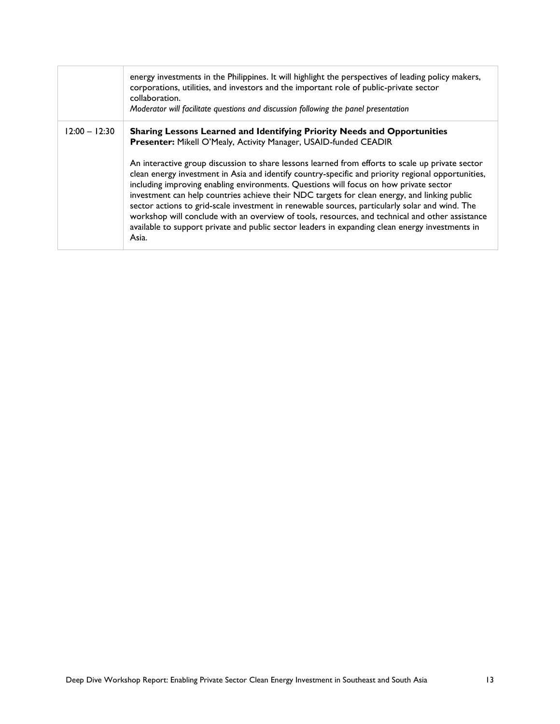|                 | energy investments in the Philippines. It will highlight the perspectives of leading policy makers,<br>corporations, utilities, and investors and the important role of public-private sector<br>collaboration.<br>Moderator will facilitate questions and discussion following the panel presentation                                                                                                                                                                                                                                                                                                                                                                                                                                                                                                                                                           |
|-----------------|------------------------------------------------------------------------------------------------------------------------------------------------------------------------------------------------------------------------------------------------------------------------------------------------------------------------------------------------------------------------------------------------------------------------------------------------------------------------------------------------------------------------------------------------------------------------------------------------------------------------------------------------------------------------------------------------------------------------------------------------------------------------------------------------------------------------------------------------------------------|
| $12:00 - 12:30$ | Sharing Lessons Learned and Identifying Priority Needs and Opportunities<br>Presenter: Mikell O'Mealy, Activity Manager, USAID-funded CEADIR<br>An interactive group discussion to share lessons learned from efforts to scale up private sector<br>clean energy investment in Asia and identify country-specific and priority regional opportunities,<br>including improving enabling environments. Questions will focus on how private sector<br>investment can help countries achieve their NDC targets for clean energy, and linking public<br>sector actions to grid-scale investment in renewable sources, particularly solar and wind. The<br>workshop will conclude with an overview of tools, resources, and technical and other assistance<br>available to support private and public sector leaders in expanding clean energy investments in<br>Asia. |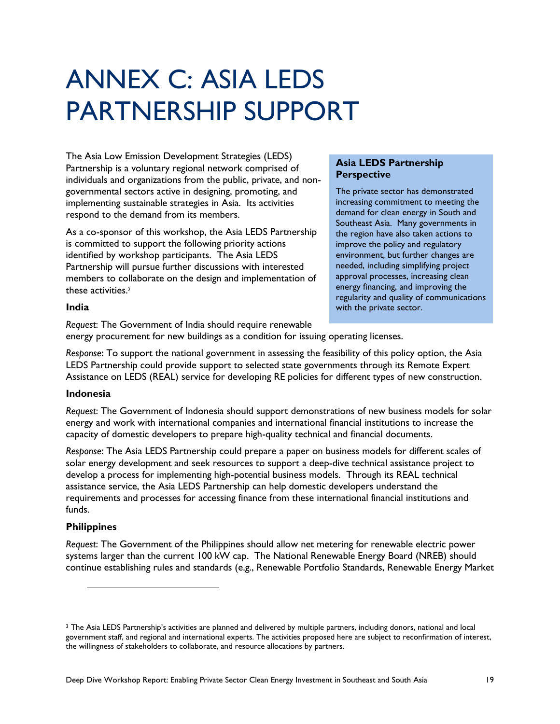# ANNEX C: ASIA LEDS PARTNERSHIP SUPPORT

The Asia Low Emission Development Strategies (LEDS) Partnership is a voluntary regional network comprised of individuals and organizations from the public, private, and nongovernmental sectors active in designing, promoting, and implementing sustainable strategies in Asia. Its activities respond to the demand from its members.

As a co-sponsor of this workshop, the Asia LEDS Partnership is committed to support the following priority actions identified by workshop participants. The Asia LEDS Partnership will pursue further discussions with interested members to collaborate on the design and implementation of these activities.<sup>3</sup>

#### **Asia LEDS Partnership Perspective**

The private sector has demonstrated increasing commitment to meeting the demand for clean energy in South and Southeast Asia. Many governments in the region have also taken actions to improve the policy and regulatory environment, but further changes are needed, including simplifying project approval processes, increasing clean energy financing, and improving the regularity and quality of communications with the private sector.

#### **India**

*Request*: The Government of India should require renewable energy procurement for new buildings as a condition for issuing operating licenses.

*Response*: To support the national government in assessing the feasibility of this policy option, the Asia LEDS Partnership could provide support to selected state governments through its Remote Expert Assistance on LEDS (REAL) service for developing RE policies for different types of new construction.

#### **Indonesia**

*Request*: The Government of Indonesia should support demonstrations of new business models for solar energy and work with international companies and international financial institutions to increase the capacity of domestic developers to prepare high-quality technical and financial documents.

*Response*: The Asia LEDS Partnership could prepare a paper on business models for different scales of solar energy development and seek resources to support a deep-dive technical assistance project to develop a process for implementing high-potential business models. Through its REAL technical assistance service, the Asia LEDS Partnership can help domestic developers understand the requirements and processes for accessing finance from these international financial institutions and funds.

#### **Philippines**

*Request*: The Government of the Philippines should allow net metering for renewable electric power systems larger than the current 100 kW cap. The National Renewable Energy Board (NREB) should continue establishing rules and standards (e.g., Renewable Portfolio Standards, Renewable Energy Market

<sup>&</sup>lt;sup>3</sup> The Asia LEDS Partnership's activities are planned and delivered by multiple partners, including donors, national and local government staff, and regional and international experts. The activities proposed here are subject to reconfirmation of interest, the willingness of stakeholders to collaborate, and resource allocations by partners.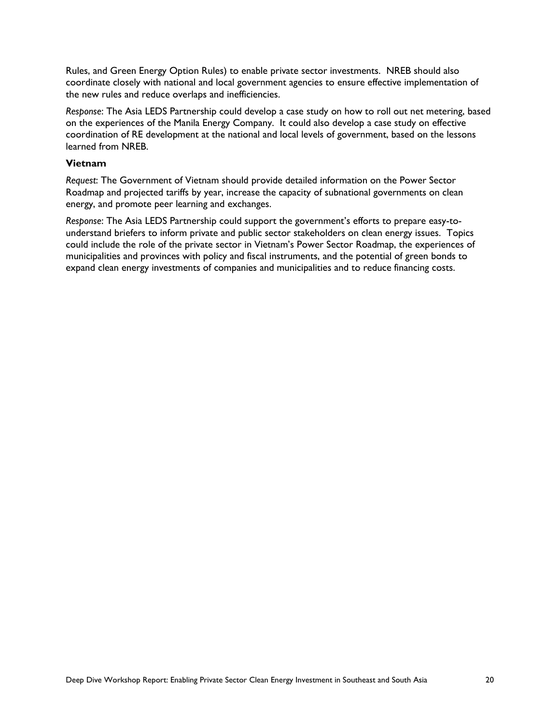Rules, and Green Energy Option Rules) to enable private sector investments. NREB should also coordinate closely with national and local government agencies to ensure effective implementation of the new rules and reduce overlaps and inefficiencies.

*Response*: The Asia LEDS Partnership could develop a case study on how to roll out net metering, based on the experiences of the Manila Energy Company. It could also develop a case study on effective coordination of RE development at the national and local levels of government, based on the lessons learned from NREB.

#### **Vietnam**

*Request*: The Government of Vietnam should provide detailed information on the Power Sector Roadmap and projected tariffs by year, increase the capacity of subnational governments on clean energy, and promote peer learning and exchanges.

*Response*: The Asia LEDS Partnership could support the government's efforts to prepare easy-tounderstand briefers to inform private and public sector stakeholders on clean energy issues. Topics could include the role of the private sector in Vietnam's Power Sector Roadmap, the experiences of municipalities and provinces with policy and fiscal instruments, and the potential of green bonds to expand clean energy investments of companies and municipalities and to reduce financing costs.